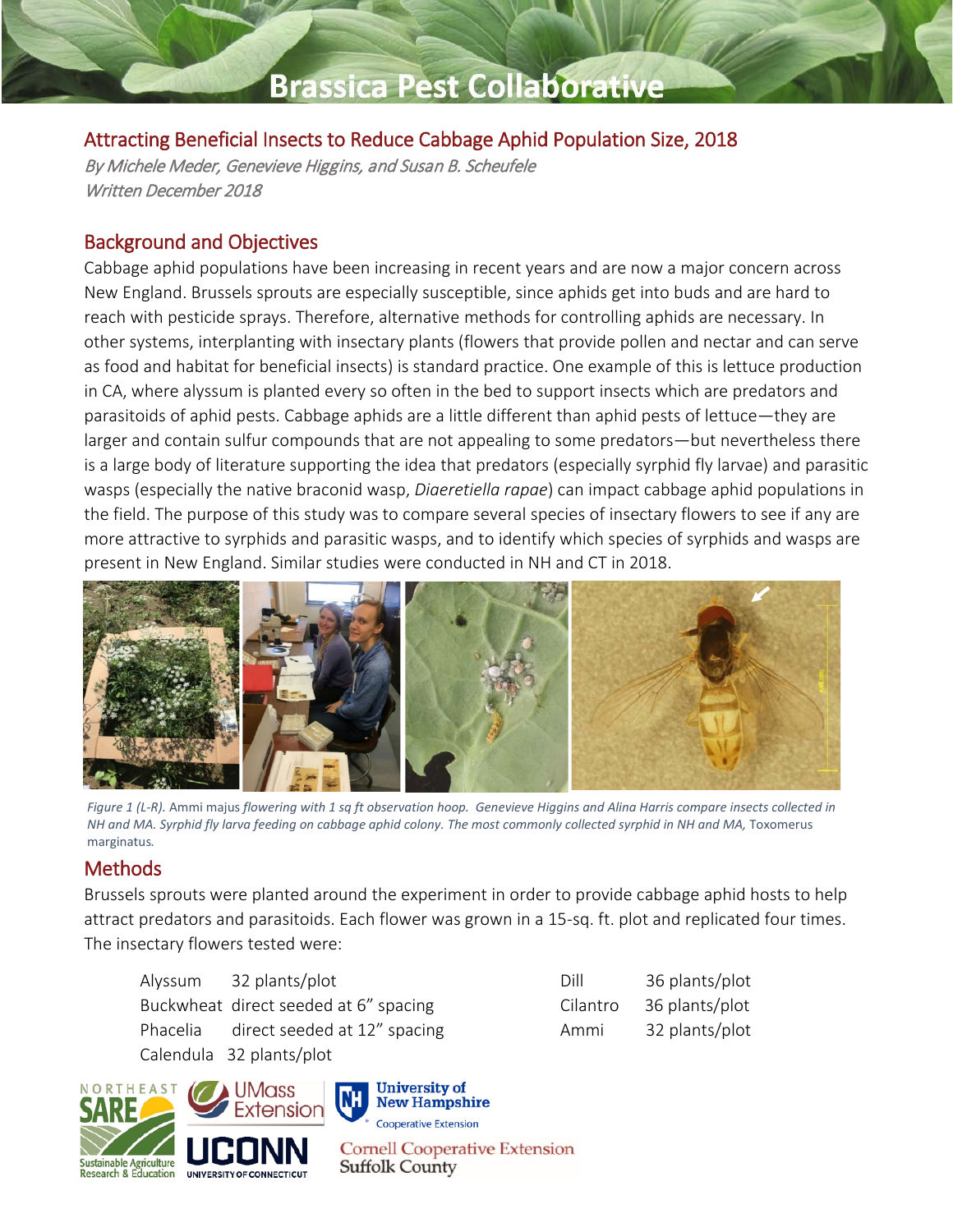## **Brassica Pest Collaborative**

### Attracting Beneficial Insects to Reduce Cabbage Aphid Population Size, 2018

By Michele Meder, Genevieve Higgins, and Susan B. Scheufele Written December 2018

### Background and Objectives

Cabbage aphid populations have been increasing in recent years and are now a major concern across New England. Brussels sprouts are especially susceptible, since aphids get into buds and are hard to reach with pesticide sprays. Therefore, alternative methods for controlling aphids are necessary. In other systems, interplanting with insectary plants (flowers that provide pollen and nectar and can serve as food and habitat for beneficial insects) is standard practice. One example of this is lettuce production in CA, where alyssum is planted every so often in the bed to support insects which are predators and parasitoids of aphid pests. Cabbage aphids are a little different than aphid pests of lettuce—they are larger and contain sulfur compounds that are not appealing to some predators—but nevertheless there is a large body of literature supporting the idea that predators (especially syrphid fly larvae) and parasitic wasps (especially the native braconid wasp, *Diaeretiella rapae*) can impact cabbage aphid populations in the field. The purpose of this study was to compare several species of insectary flowers to see if any are more attractive to syrphids and parasitic wasps, and to identify which species of syrphids and wasps are present in New England. Similar studies were conducted in NH and CT in 2018.



*Figure 1 (L-R).* Ammi majus *flowering with 1 sq ft observation hoop. Genevieve Higgins and Alina Harris compare insects collected in NH and MA. Syrphid fly larva feeding on cabbage aphid colony. The most commonly collected syrphid in NH and MA,* Toxomerus marginatus*.*

#### Methods

Brussels sprouts were planted around the experiment in order to provide cabbage aphid hosts to help attract predators and parasitoids. Each flower was grown in a 15-sq. ft. plot and replicated four times. The insectary flowers tested were:

| Alyssum 32 plants/plot                |
|---------------------------------------|
| Buckwheat direct seeded at 6" spacing |
| Phacelia direct seeded at 12" spacing |
| Calendula 32 plants/plot              |

| Dill     | 36 plants/plot |
|----------|----------------|
| Cilantro | 36 plants/plot |
| Ammi     | 32 plants/plot |

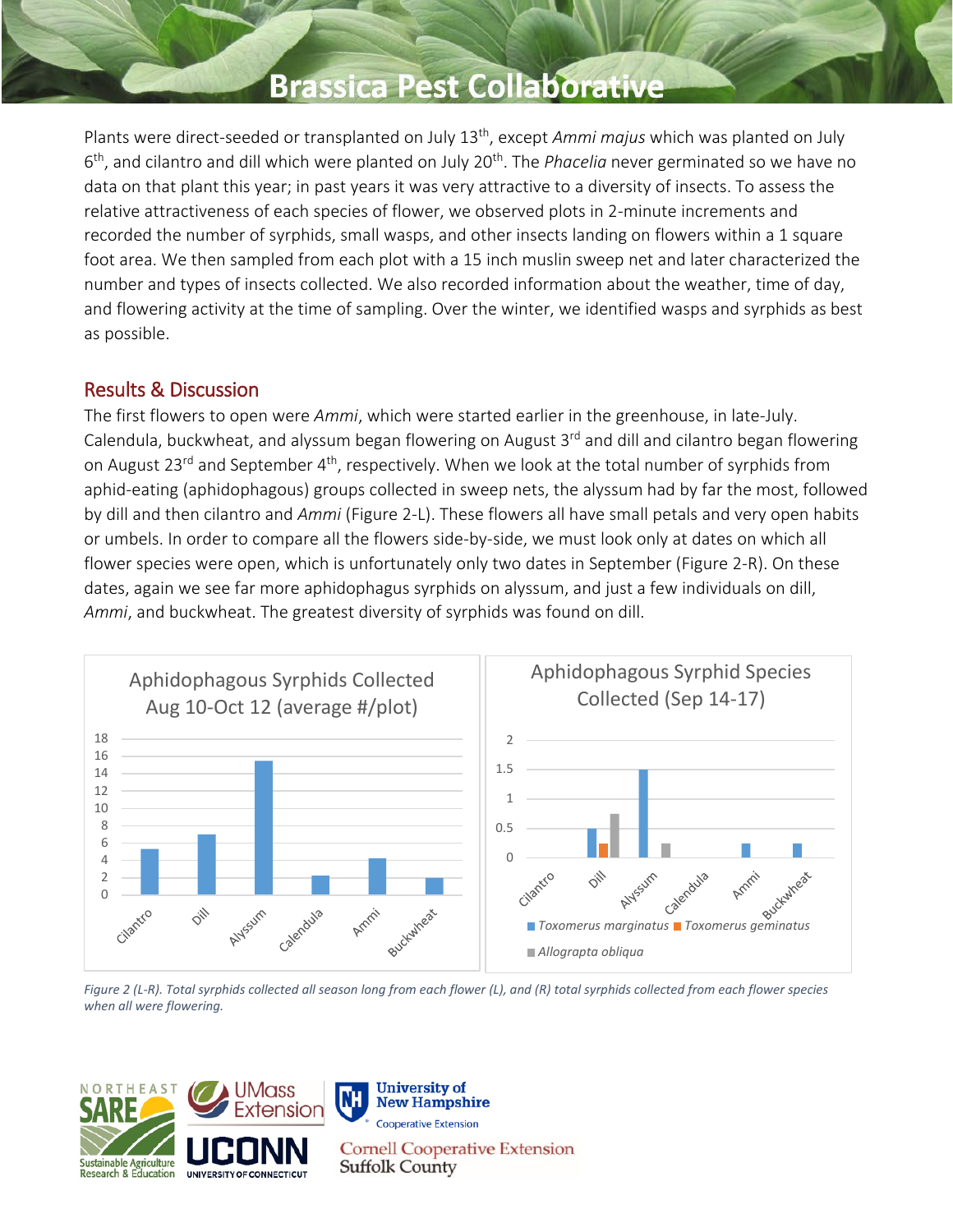### **Brassica Pest Collaborativ**

Plants were direct-seeded or transplanted on July 13th, except *Ammi majus* which was planted on July 6<sup>th</sup>, and cilantro and dill which were planted on July 20<sup>th</sup>. The *Phacelia* never germinated so we have no data on that plant this year; in past years it was very attractive to a diversity of insects. To assess the relative attractiveness of each species of flower, we observed plots in 2-minute increments and recorded the number of syrphids, small wasps, and other insects landing on flowers within a 1 square foot area. We then sampled from each plot with a 15 inch muslin sweep net and later characterized the number and types of insects collected. We also recorded information about the weather, time of day, and flowering activity at the time of sampling. Over the winter, we identified wasps and syrphids as best as possible.

#### Results & Discussion

The first flowers to open were *Ammi*, which were started earlier in the greenhouse, in late-July. Calendula, buckwheat, and alyssum began flowering on August 3<sup>rd</sup> and dill and cilantro began flowering on August 23<sup>rd</sup> and September 4<sup>th</sup>, respectively. When we look at the total number of syrphids from aphid-eating (aphidophagous) groups collected in sweep nets, the alyssum had by far the most, followed by dill and then cilantro and *Ammi* (Figure 2-L). These flowers all have small petals and very open habits or umbels. In order to compare all the flowers side-by-side, we must look only at dates on which all flower species were open, which is unfortunately only two dates in September (Figure 2-R). On these dates, again we see far more aphidophagus syrphids on alyssum, and just a few individuals on dill, *Ammi*, and buckwheat. The greatest diversity of syrphids was found on dill.



*Figure 2 (L-R). Total syrphids collected all season long from each flower (L), and (R) total syrphids collected from each flower species when all were flowering.*

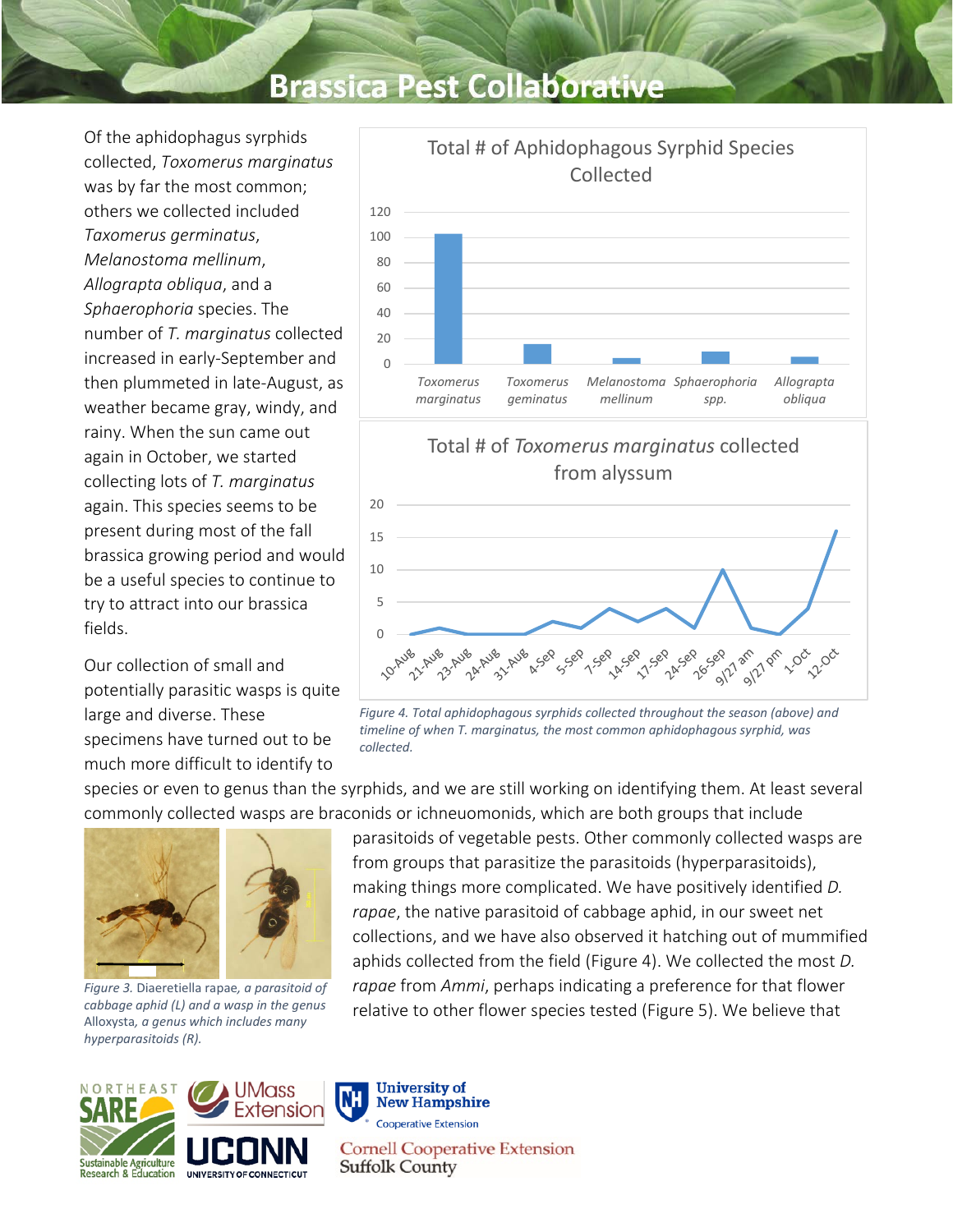# **Brassica Pest Collaborati**

Of the aphidophagus syrphids collected, *Toxomerus marginatus* was by far the most common; others we collected included *Taxomerus germinatus*, *Melanostoma mellinum*, *Allograpta obliqua*, and a *Sphaerophoria* species. The number of *T. marginatus* collected increased in early-September and then plummeted in late-August, as weather became gray, windy, and rainy. When the sun came out again in October, we started collecting lots of *T. marginatus* again. This species seems to be present during most of the fall brassica growing period and would be a useful species to continue to try to attract into our brassica fields.

Our collection of small and potentially parasitic wasps is quite large and diverse. These specimens have turned out to be much more difficult to identify to







*Figure 4. Total aphidophagous syrphids collected throughout the season (above) and timeline of when T. marginatus, the most common aphidophagous syrphid, was collected.*

species or even to genus than the syrphids, and we are still working on identifying them. At least several commonly collected wasps are braconids or ichneuomonids, which are both groups that include



*Figure 3.* Diaeretiella rapae*, a parasitoid of cabbage aphid (L) and a wasp in the genus*  Alloxysta*, a genus which includes many hyperparasitoids (R).*

parasitoids of vegetable pests. Other commonly collected wasps are from groups that parasitize the parasitoids (hyperparasitoids), making things more complicated. We have positively identified *D. rapae*, the native parasitoid of cabbage aphid, in our sweet net collections, and we have also observed it hatching out of mummified aphids collected from the field (Figure 4). We collected the most *D. rapae* from *Ammi*, perhaps indicating a preference for that flower relative to other flower species tested (Figure 5). We believe that



**University of New Hampshire Cooperative Extension Cornell Cooperative Extension Suffolk County**